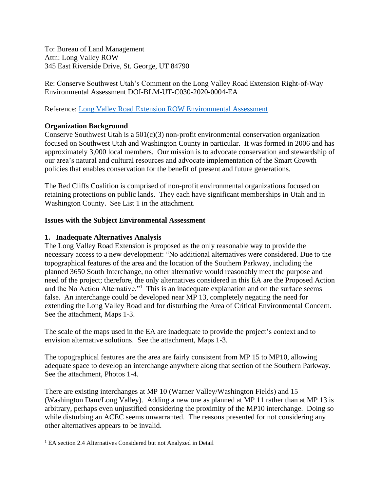To: Bureau of Land Management Attn: Long Valley ROW 345 East Riverside Drive, St. George, UT 84790

Re: Conserve Southwest Utah's Comment on the Long Valley Road Extension Right-of-Way Environmental Assessment DOI-BLM-UT-C030-2020-0004-EA

Reference: [Long Valley Road Extension ROW](https://eplanning.blm.gov/public_projects/1503131/200388189/20028467/250034669/Draft%20Long%20Valley%20EA%209.24.2020.pdf) Environmental Assessment

# **Organization Background**

Conserve Southwest Utah is a 501(c)(3) non-profit environmental conservation organization focused on Southwest Utah and Washington County in particular. It was formed in 2006 and has approximately 3,000 local members. Our mission is to advocate conservation and stewardship of our area's natural and cultural resources and advocate implementation of the Smart Growth policies that enables conservation for the benefit of present and future generations.

The Red Cliffs Coalition is comprised of non-profit environmental organizations focused on retaining protections on public lands. They each have significant memberships in Utah and in Washington County. See List 1 in the attachment.

### **Issues with the Subject Environmental Assessment**

### **1. Inadequate Alternatives Analysis**

The Long Valley Road Extension is proposed as the only reasonable way to provide the necessary access to a new development: "No additional alternatives were considered. Due to the topographical features of the area and the location of the Southern Parkway, including the planned 3650 South Interchange, no other alternative would reasonably meet the purpose and need of the project; therefore, the only alternatives considered in this EA are the Proposed Action and the No Action Alternative."<sup>1</sup> This is an inadequate explanation and on the surface seems false. An interchange could be developed near MP 13, completely negating the need for extending the Long Valley Road and for disturbing the Area of Critical Environmental Concern. See the attachment, Maps 1-3.

The scale of the maps used in the EA are inadequate to provide the project's context and to envision alternative solutions. See the attachment, Maps 1-3.

The topographical features are the area are fairly consistent from MP 15 to MP10, allowing adequate space to develop an interchange anywhere along that section of the Southern Parkway. See the attachment, Photos 1-4.

There are existing interchanges at MP 10 (Warner Valley/Washington Fields) and 15 (Washington Dam/Long Valley). Adding a new one as planned at MP 11 rather than at MP 13 is arbitrary, perhaps even unjustified considering the proximity of the MP10 interchange. Doing so while disturbing an ACEC seems unwarranted. The reasons presented for not considering any other alternatives appears to be invalid.

<sup>&</sup>lt;sup>1</sup> EA section 2.4 Alternatives Considered but not Analyzed in Detail